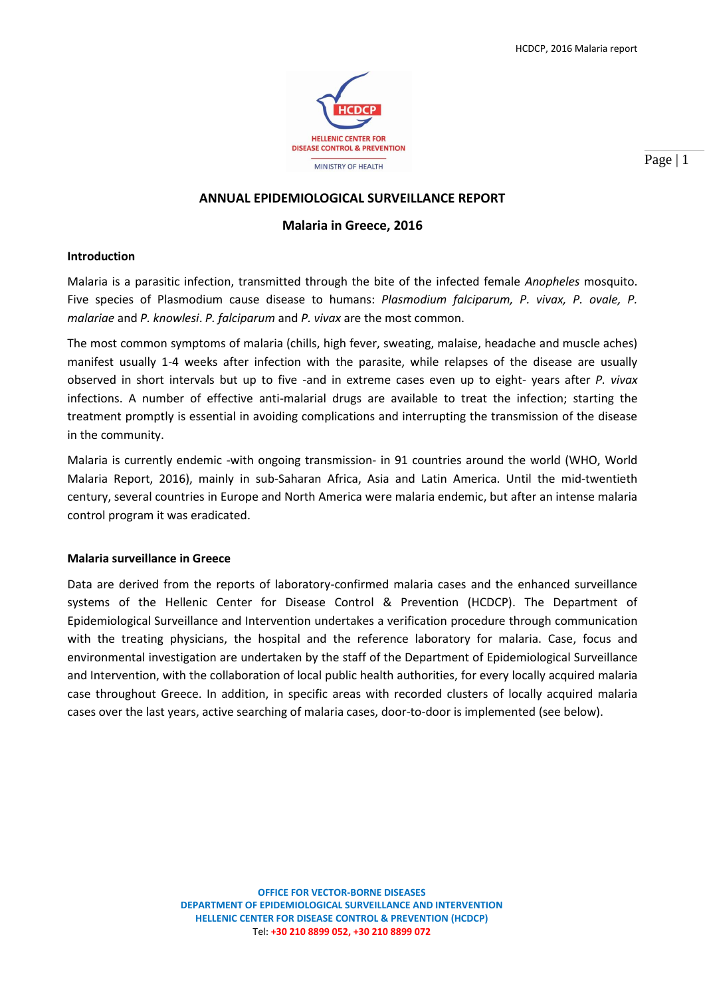

Page | 1

## **ANNUAL EPIDEMIOLOGICAL SURVEILLANCE REPORT**

### **Malaria in Greece, 2016**

#### **Introduction**

Malaria is a parasitic infection, transmitted through the bite of the infected female *Anopheles* mosquito. Five species of Plasmodium cause disease to humans: *Plasmodium falciparum, P. vivax, P. ovale, P. malariae* and *P. knowlesi*. *P. falciparum* and *P. vivax* are the most common.

The most common symptoms of malaria (chills, high fever, sweating, malaise, headache and muscle aches) manifest usually 1-4 weeks after infection with the parasite, while relapses of the disease are usually observed in short intervals but up to five -and in extreme cases even up to eight- years after *P. vivax* infections. A number of effective anti-malarial drugs are available to treat the infection; starting the treatment promptly is essential in avoiding complications and interrupting the transmission of the disease in the community.

Malaria is currently endemic -with ongoing transmission- in 91 countries around the world (WHO, World Malaria Report, 2016), mainly in sub-Saharan Africa, Asia and Latin America. Until the mid-twentieth century, several countries in Europe and North America were malaria endemic, but after an intense malaria control program it was eradicated.

#### **Malaria surveillance in Greece**

Data are derived from the reports of laboratory-confirmed malaria cases and the enhanced surveillance systems of the Hellenic Center for Disease Control & Prevention (HCDCP). The Department of Epidemiological Surveillance and Intervention undertakes a verification procedure through communication with the treating physicians, the hospital and the reference laboratory for malaria. Case, focus and environmental investigation are undertaken by the staff of the Department of Epidemiological Surveillance and Intervention, with the collaboration of local public health authorities, for every locally acquired malaria case throughout Greece. In addition, in specific areas with recorded clusters of locally acquired malaria cases over the last years, active searching of malaria cases, door-to-door is implemented (see below).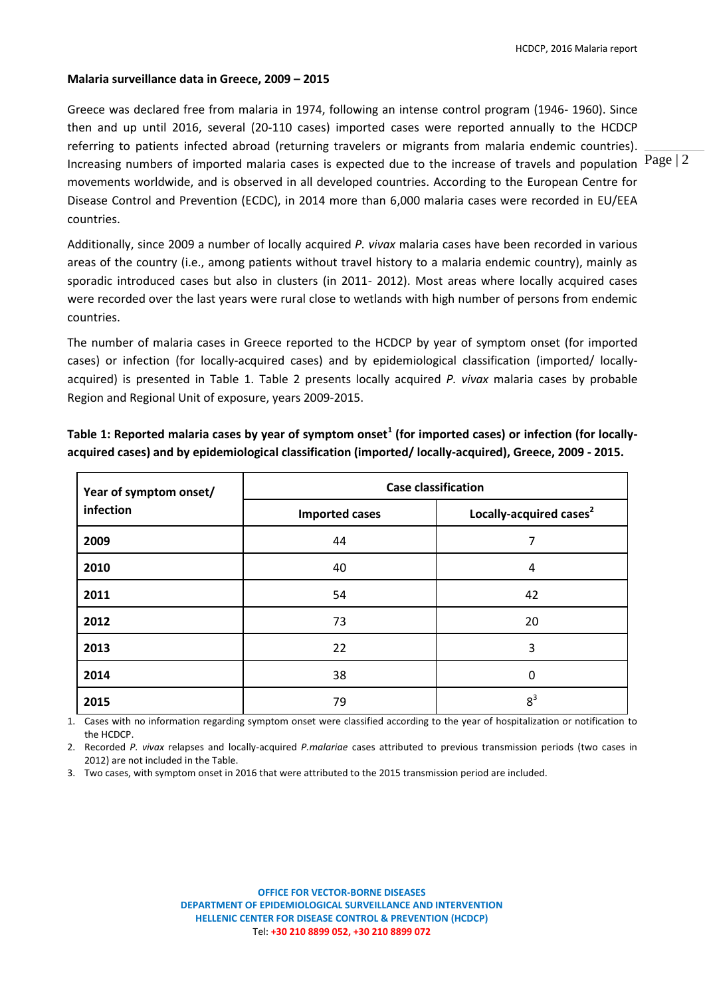#### **Malaria surveillance data in Greece, 2009 – 2015**

Increasing numbers of imported malaria cases is expected due to the increase of travels and population  ${}^{{\rm Page}}$  | 2 Greece was declared free from malaria in 1974, following an intense control program (1946- 1960). Since then and up until 2016, several (20-110 cases) imported cases were reported annually to the HCDCP referring to patients infected abroad (returning travelers or migrants from malaria endemic countries). movements worldwide, and is observed in all developed countries. According to the European Centre for Disease Control and Prevention (ECDC), in 2014 more than 6,000 malaria cases were recorded in EU/EEA countries.

Additionally, since 2009 a number of locally acquired *P. vivax* malaria cases have been recorded in various areas of the country (i.e., among patients without travel history to a malaria endemic country), mainly as sporadic introduced cases but also in clusters (in 2011- 2012). Most areas where locally acquired cases were recorded over the last years were rural close to wetlands with high number of persons from endemic countries.

The number of malaria cases in Greece reported to the HCDCP by year of symptom onset (for imported cases) or infection (for locally-acquired cases) and by epidemiological classification (imported/ locallyacquired) is presented in Table 1. Table 2 presents locally acquired *P. vivax* malaria cases by probable Region and Regional Unit of exposure, years 2009-2015.

| Year of symptom onset/ | <b>Case classification</b> |                                     |  |  |  |  |
|------------------------|----------------------------|-------------------------------------|--|--|--|--|
| infection              | <b>Imported cases</b>      | Locally-acquired cases <sup>2</sup> |  |  |  |  |
| 2009                   | 44                         | 7                                   |  |  |  |  |
| 2010                   | 40                         | 4                                   |  |  |  |  |
| 2011                   | 54                         | 42                                  |  |  |  |  |
| 2012                   | 73                         | 20                                  |  |  |  |  |
| 2013                   | 22                         | 3                                   |  |  |  |  |
| 2014                   | 38                         | 0                                   |  |  |  |  |
| 2015                   | 79                         | 8 <sup>3</sup>                      |  |  |  |  |

**Table 1: Reported malaria cases by year of symptom onset<sup>1</sup> (for imported cases) or infection (for locallyacquired cases) and by epidemiological classification (imported/ locally-acquired), Greece, 2009 - 2015.**

1. Cases with no information regarding symptom onset were classified according to the year of hospitalization or notification to the HCDCP.

2. Recorded *P. vivax* relapses and locally-acquired *P.malariae* cases attributed to previous transmission periods (two cases in 2012) are not included in the Table.

3. Two cases, with symptom onset in 2016 that were attributed to the 2015 transmission period are included.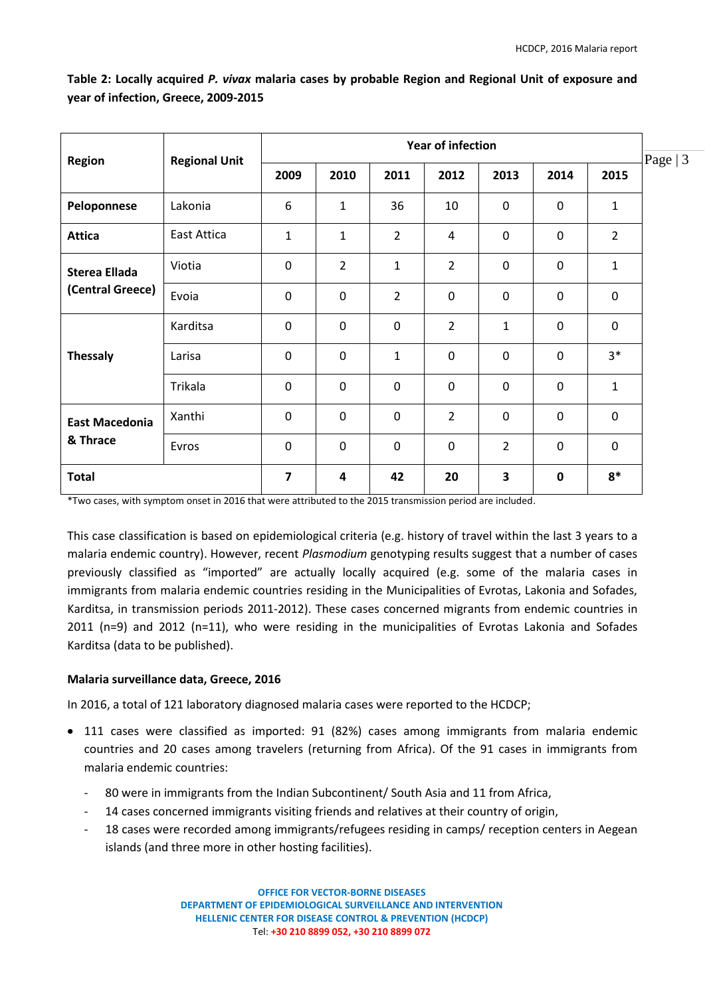| <b>Region</b>         | <b>Regional Unit</b> | <b>Year of infection</b> |                |                |                |                         |             |                | Page $ 3$ |
|-----------------------|----------------------|--------------------------|----------------|----------------|----------------|-------------------------|-------------|----------------|-----------|
|                       |                      | 2009                     | 2010           | 2011           | 2012           | 2013                    | 2014        | 2015           |           |
| Peloponnese           | Lakonia              | 6                        | $\mathbf{1}$   | 36             | 10             | 0                       | 0           | $\mathbf{1}$   |           |
| <b>Attica</b>         | East Attica          | $\mathbf{1}$             | $\mathbf{1}$   | $\overline{2}$ | 4              | $\mathbf 0$             | $\mathbf 0$ | $\overline{2}$ |           |
| <b>Sterea Ellada</b>  | Viotia               | $\mathbf 0$              | $\overline{2}$ | $\mathbf{1}$   | $\overline{2}$ | $\mathbf 0$             | $\mathbf 0$ | $\mathbf{1}$   |           |
| (Central Greece)      | Evoia                | $\mathbf 0$              | $\mathbf 0$    | $\overline{2}$ | $\mathbf 0$    | $\mathbf 0$             | $\mathbf 0$ | $\mathbf 0$    |           |
|                       | Karditsa             | $\mathbf 0$              | $\mathbf 0$    | $\mathbf 0$    | $\overline{2}$ | $\mathbf{1}$            | $\mathbf 0$ | $\mathbf 0$    |           |
| <b>Thessaly</b>       | Larisa               | $\mathbf 0$              | $\mathbf 0$    | $\mathbf{1}$   | $\mathbf 0$    | $\mathbf 0$             | $\mathbf 0$ | $3*$           |           |
|                       | Trikala              | $\mathbf 0$              | $\overline{0}$ | $\mathbf{0}$   | $\mathbf 0$    | $\mathbf 0$             | $\mathbf 0$ | $\mathbf{1}$   |           |
| <b>East Macedonia</b> | Xanthi               | $\mathbf 0$              | $\mathbf 0$    | $\mathbf 0$    | $\overline{2}$ | $\mathbf 0$             | $\mathbf 0$ | $\mathbf 0$    |           |
| & Thrace              | Evros                | $\mathbf 0$              | $\mathbf 0$    | $\mathbf 0$    | $\mathbf 0$    | $\overline{2}$          | $\mathbf 0$ | $\mathbf 0$    |           |
| <b>Total</b>          |                      | $\overline{7}$           | 4              | 42             | 20             | $\overline{\mathbf{3}}$ | $\mathbf 0$ | $8*$           |           |

**Table 2: Locally acquired** *P. vivax* **malaria cases by probable Region and Regional Unit of exposure and year of infection, Greece, 2009-2015**

\*Two cases, with symptom onset in 2016 that were attributed to the 2015 transmission period are included.

This case classification is based on epidemiological criteria (e.g. history of travel within the last 3 years to a malaria endemic country). However, recent *Plasmodium* genotyping results suggest that a number of cases previously classified as "imported" are actually locally acquired (e.g. some of the malaria cases in immigrants from malaria endemic countries residing in the Municipalities of Evrotas, Lakonia and Sofades, Karditsa, in transmission periods 2011-2012). These cases concerned migrants from endemic countries in 2011 (n=9) and 2012 (n=11), who were residing in the municipalities of Evrotas Lakonia and Sofades Karditsa (data to be published).

## **Malaria surveillance data, Greece, 2016**

In 2016, a total of 121 laboratory diagnosed malaria cases were reported to the HCDCP;

- 111 cases were classified as imported: 91 (82%) cases among immigrants from malaria endemic countries and 20 cases among travelers (returning from Africa). Of the 91 cases in immigrants from malaria endemic countries:
	- 80 were in immigrants from the Indian Subcontinent/ South Asia and 11 from Africa,
	- 14 cases concerned immigrants visiting friends and relatives at their country of origin,
	- 18 cases were recorded among immigrants/refugees residing in camps/ reception centers in Aegean islands (and three more in other hosting facilities).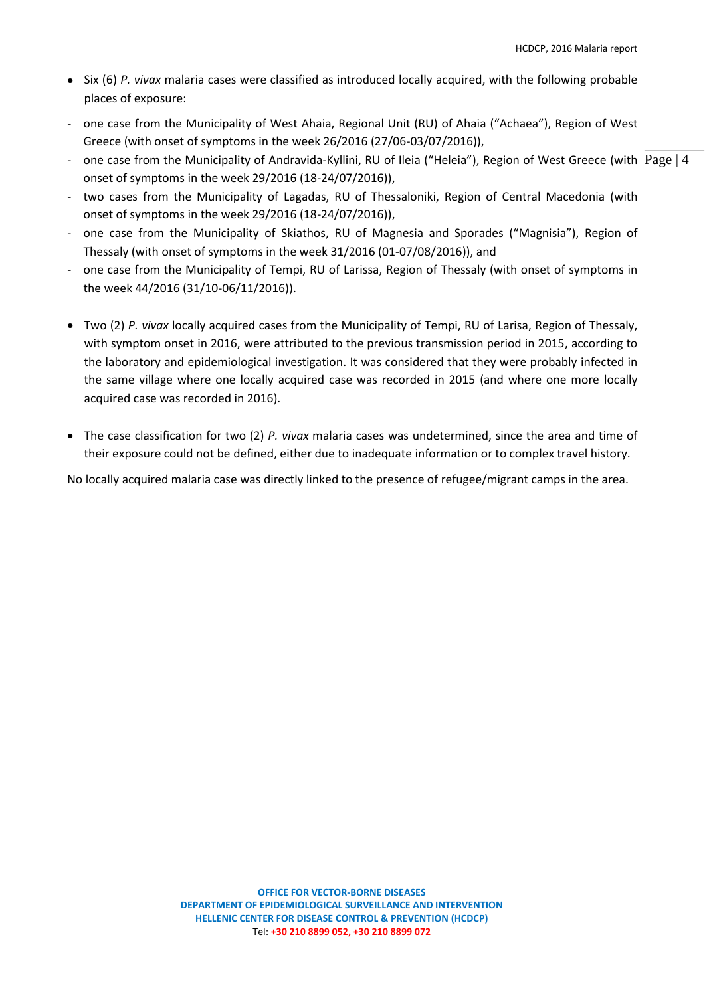- Six (6) *P. vivax* malaria cases were classified as introduced locally acquired, with the following probable places of exposure:
- one case from the Municipality of West Ahaia, Regional Unit (RU) of Ahaia ("Achaea"), Region of West Greece (with onset of symptoms in the week 26/2016 (27/06-03/07/2016)),
- one case from the Municipality of Andravida-Kyllini, RU of Ileia ("Heleia"), Region of West Greece (with  $\text{ Page} \mid 4$ onset of symptoms in the week 29/2016 (18-24/07/2016)),
- two cases from the Municipality of Lagadas, RU of Thessaloniki, Region of Central Macedonia (with onset of symptoms in the week 29/2016 (18-24/07/2016)),
- one case from the Municipality of Skiathos, RU of Magnesia and Sporades ("Magnisia"), Region of Thessaly (with onset of symptoms in the week 31/2016 (01-07/08/2016)), and
- one case from the Municipality of Tempi, RU of Larissa, Region of Thessaly (with onset of symptoms in the week 44/2016 (31/10-06/11/2016)).
- Two (2) *P. vivax* locally acquired cases from the Municipality of Tempi, RU of Larisa, Region of Thessaly, with symptom onset in 2016, were attributed to the previous transmission period in 2015, according to the laboratory and epidemiological investigation. It was considered that they were probably infected in the same village where one locally acquired case was recorded in 2015 (and where one more locally acquired case was recorded in 2016).
- The case classification for two (2) *P. vivax* malaria cases was undetermined, since the area and time of their exposure could not be defined, either due to inadequate information or to complex travel history.

No locally acquired malaria case was directly linked to the presence of refugee/migrant camps in the area.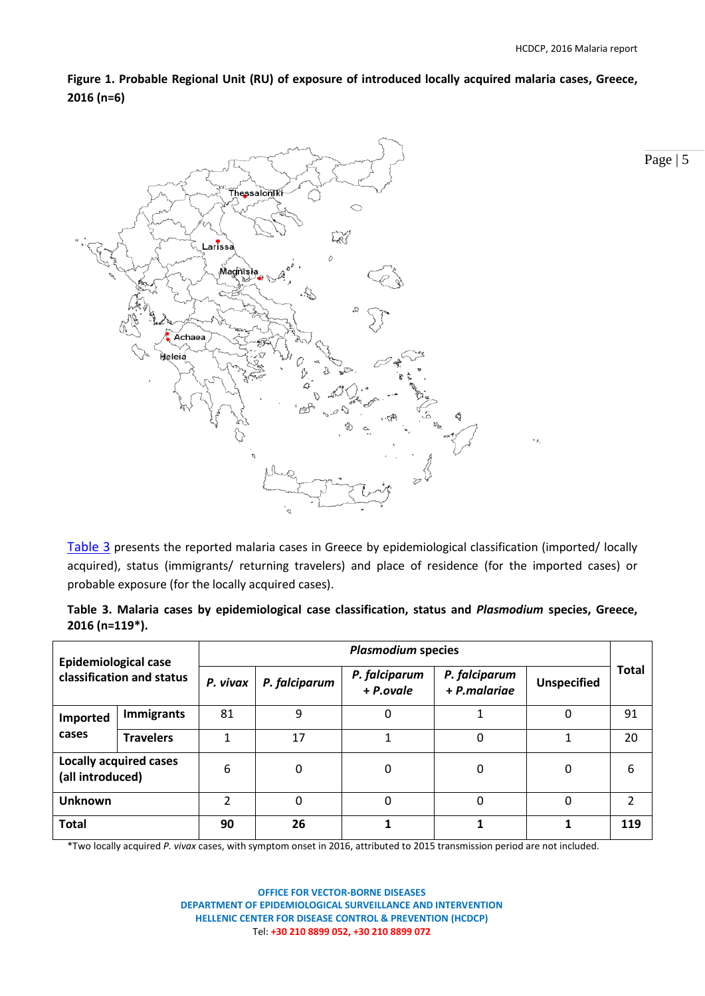Page | 5

**Figure 1. Probable Regional Unit (RU) of exposure of introduced locally acquired malaria cases, Greece, 2016 (n=6)**



[Table 3](#page-4-0) presents the reported malaria cases in Greece by epidemiological classification (imported/ locally acquired), status (immigrants/ returning travelers) and place of residence (for the imported cases) or probable exposure (for the locally acquired cases).

|                               |  | Table 3. Malaria cases by epidemiological case classification, status and Plasmodium species, Greece, |  |  |  |  |
|-------------------------------|--|-------------------------------------------------------------------------------------------------------|--|--|--|--|
| $2016$ (n=119 <sup>*</sup> ). |  |                                                                                                       |  |  |  |  |

| <b>Epidemiological case</b><br>classification and status |                   | <b>Plasmodium species</b> |               |                            |                               |                    |              |  |  |  |
|----------------------------------------------------------|-------------------|---------------------------|---------------|----------------------------|-------------------------------|--------------------|--------------|--|--|--|
|                                                          |                   | P. vivax                  | P. falciparum | P. falciparum<br>+ P.ovale | P. falciparum<br>+ P.malariae | <b>Unspecified</b> | <b>Total</b> |  |  |  |
| Imported                                                 | <b>Immigrants</b> | 81                        | 9             | 0                          |                               | 0                  | 91           |  |  |  |
| cases                                                    | <b>Travelers</b>  | 1                         | 17            | 1                          | 0                             | 1                  | 20           |  |  |  |
| <b>Locally acquired cases</b><br>(all introduced)        |                   | 6                         | 0             | 0                          | 0                             | 0                  | 6            |  |  |  |
| <b>Unknown</b>                                           |                   | ำ                         | 0             | $\Omega$<br>0              |                               | 0                  | 2            |  |  |  |
| <b>Total</b>                                             |                   | 90                        | 26            |                            |                               |                    | 119          |  |  |  |

<span id="page-4-0"></span>\*Two locally acquired *P. vivax* cases, with symptom onset in 2016, attributed to 2015 transmission period are not included.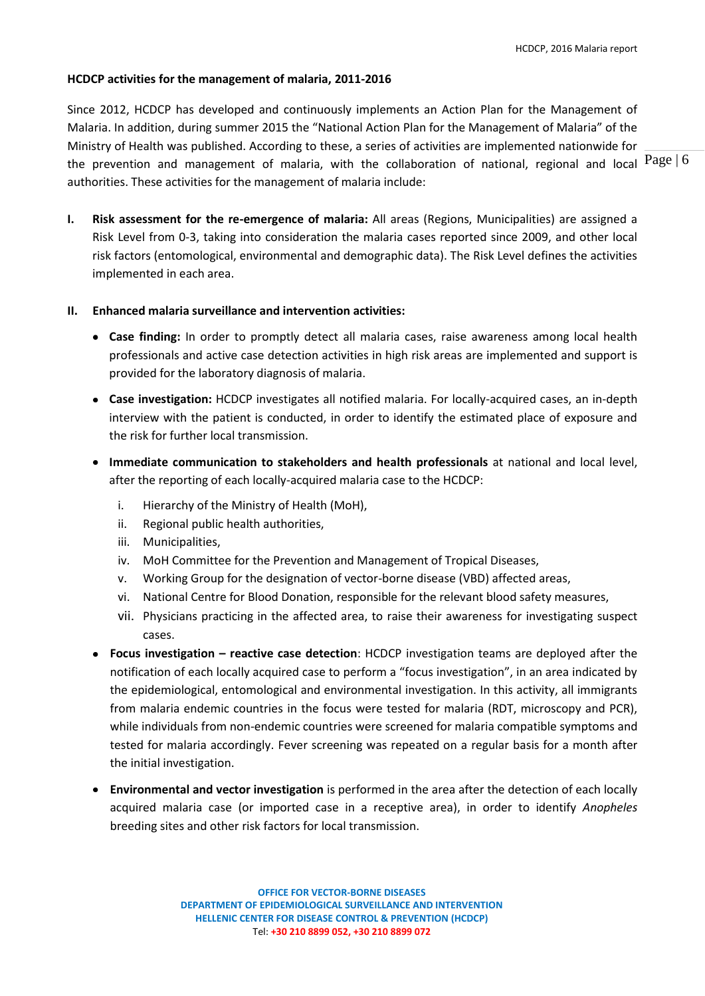### **HCDCP activities for the management of malaria, 2011-2016**

the prevention and management of malaria, with the collaboration of national, regional and local  $\text{Page} \mid 6$ Since 2012, HCDCP has developed and continuously implements an Action Plan for the Management of Malaria. In addition, during summer 2015 the "National Action Plan for the Management of Malaria" of the Ministry of Health was published. According to these, a series of activities are implemented nationwide for authorities. These activities for the management of malaria include:

**I. Risk assessment for the re-emergence of malaria:** All areas (Regions, Municipalities) are assigned a Risk Level from 0-3, taking into consideration the malaria cases reported since 2009, and other local risk factors (entomological, environmental and demographic data). The Risk Level defines the activities implemented in each area.

### **II. Enhanced malaria surveillance and intervention activities:**

- **Case finding:** In order to promptly detect all malaria cases, raise awareness among local health professionals and active case detection activities in high risk areas are implemented and support is provided for the laboratory diagnosis of malaria.
- **Case investigation:** HCDCP investigates all notified malaria. For locally-acquired cases, an in-depth interview with the patient is conducted, in order to identify the estimated place of exposure and the risk for further local transmission.
- **Immediate communication to stakeholders and health professionals** at national and local level, after the reporting of each locally-acquired malaria case to the HCDCP:
	- i. Hierarchy of the Ministry of Health (MoH),
	- ii. Regional public health authorities,
	- iii. Municipalities,
	- iv. MoH Committee for the Prevention and Management of Tropical Diseases,
	- v. Working Group for the designation of vector-borne disease (VBD) affected areas,
	- vi. National Centre for Blood Donation, responsible for the relevant blood safety measures,
	- vii. Physicians practicing in the affected area, to raise their awareness for investigating suspect cases.
- **Focus investigation – reactive case detection**: HCDCP investigation teams are deployed after the notification of each locally acquired case to perform a "focus investigation", in an area indicated by the epidemiological, entomological and environmental investigation. In this activity, all immigrants from malaria endemic countries in the focus were tested for malaria (RDT, microscopy and PCR), while individuals from non-endemic countries were screened for malaria compatible symptoms and tested for malaria accordingly. Fever screening was repeated on a regular basis for a month after the initial investigation.
- **Environmental and vector investigation** is performed in the area after the detection of each locally acquired malaria case (or imported case in a receptive area), in order to identify *Anopheles* breeding sites and other risk factors for local transmission.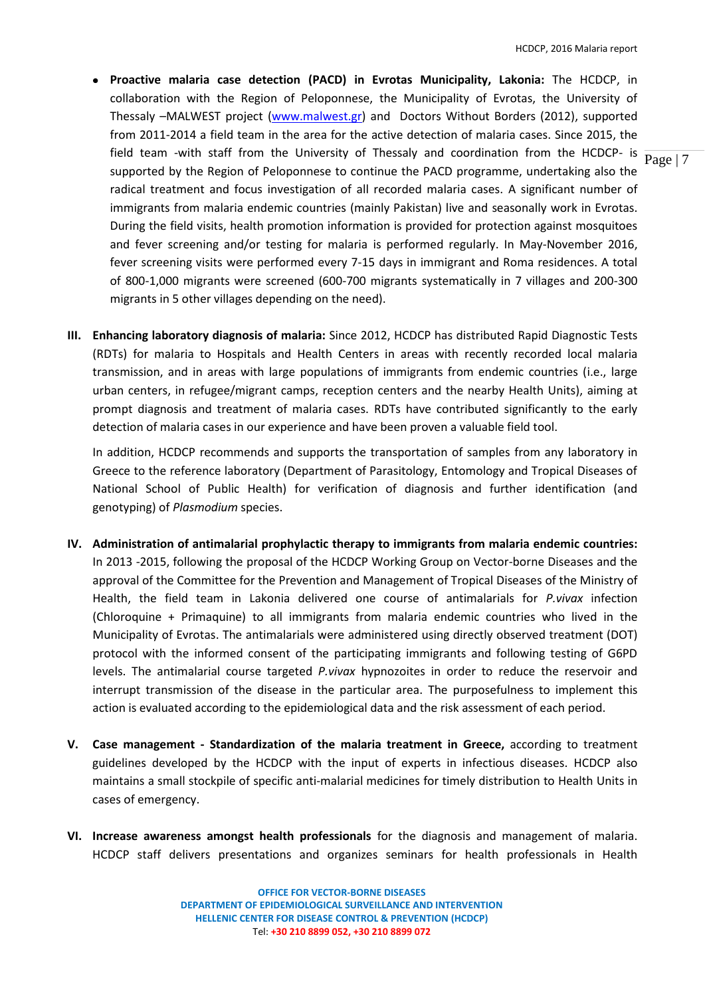- field team -with staff from the University of Thessaly and coordination from the HCDCP- is  $\frac{}{\text{Page} | 7}$ **Proactive malaria case detection (PACD) in Evrotas Municipality, Lakonia:** The HCDCP, in collaboration with the Region of Peloponnese, the Municipality of Evrotas, the University of Thessaly –MALWEST project [\(www.malwest.gr\)](http://www.malwest.gr/) and Doctors Without Borders (2012), supported from 2011-2014 a field team in the area for the active detection of malaria cases. Since 2015, the supported by the Region of Peloponnese to continue the PACD programme, undertaking also the radical treatment and focus investigation of all recorded malaria cases. A significant number of immigrants from malaria endemic countries (mainly Pakistan) live and seasonally work in Evrotas. During the field visits, health promotion information is provided for protection against mosquitoes and fever screening and/or testing for malaria is performed regularly. In May-November 2016, fever screening visits were performed every 7-15 days in immigrant and Roma residences. A total of 800-1,000 migrants were screened (600-700 migrants systematically in 7 villages and 200-300 migrants in 5 other villages depending on the need).
- **III. Enhancing laboratory diagnosis of malaria:** Since 2012, HCDCP has distributed Rapid Diagnostic Tests (RDTs) for malaria to Hospitals and Health Centers in areas with recently recorded local malaria transmission, and in areas with large populations of immigrants from endemic countries (i.e., large urban centers, in refugee/migrant camps, reception centers and the nearby Health Units), aiming at prompt diagnosis and treatment of malaria cases. RDTs have contributed significantly to the early detection of malaria cases in our experience and have been proven a valuable field tool.

In addition, HCDCP recommends and supports the transportation of samples from any laboratory in Greece to the reference laboratory (Department of Parasitology, Entomology and Tropical Diseases of National School of Public Health) for verification of diagnosis and further identification (and genotyping) of *Plasmodium* species.

- **IV. Administration of antimalarial prophylactic therapy to immigrants from malaria endemic countries:**  In 2013 -2015, following the proposal of the HCDCP Working Group on Vector-borne Diseases and the approval of the Committee for the Prevention and Management of Tropical Diseases of the Ministry of Health, the field team in Lakonia delivered one course of antimalarials for *P.vivax* infection (Chloroquine + Primaquine) to all immigrants from malaria endemic countries who lived in the Municipality of Evrotas. The antimalarials were administered using directly observed treatment (DOT) protocol with the informed consent of the participating immigrants and following testing of G6PD levels. The antimalarial course targeted *P.vivax* hypnozoites in order to reduce the reservoir and interrupt transmission of the disease in the particular area. The purposefulness to implement this action is evaluated according to the epidemiological data and the risk assessment of each period.
- **V. Case management - Standardization of the malaria treatment in Greece,** according to treatment guidelines developed by the HCDCP with the input of experts in infectious diseases. HCDCP also maintains a small stockpile of specific anti-malarial medicines for timely distribution to Health Units in cases of emergency.
- **VI. Increase awareness amongst health professionals** for the diagnosis and management of malaria. HCDCP staff delivers presentations and organizes seminars for health professionals in Health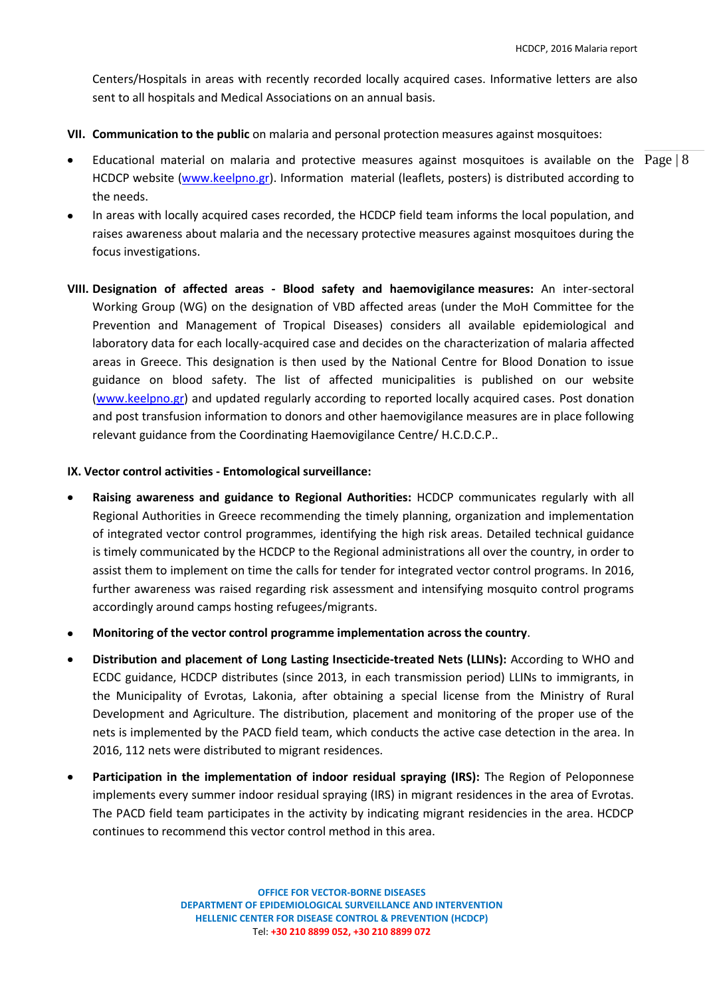Centers/Hospitals in areas with recently recorded locally acquired cases. Informative letters are also sent to all hospitals and Medical Associations on an annual basis.

- **VII. Communication to the public** on malaria and personal protection measures against mosquitoes:
- Educational material on malaria and protective measures against mosquitoes is available on the  $\text{Page} | 8$ HCDCP website [\(www.keelpno.gr\)](http://www.keelpno.gr/). Information material (leaflets, posters) is distributed according to the needs.
- In areas with locally acquired cases recorded, the HCDCP field team informs the local population, and raises awareness about malaria and the necessary protective measures against mosquitoes during the focus investigations.
- **VIII. Designation of affected areas - Blood safety and haemovigilance measures:** An inter-sectoral Working Group (WG) on the designation of VBD affected areas (under the MoH Committee for the Prevention and Management of Tropical Diseases) considers all available epidemiological and laboratory data for each locally-acquired case and decides on the characterization of malaria affected areas in Greece. This designation is then used by the National Centre for Blood Donation to issue guidance on blood safety. The list of affected municipalities is published on our website [\(www.keelpno.gr\)](http://www.keelpno.gr/) and updated regularly according to reported locally acquired cases. Post donation and post transfusion information to donors and other haemovigilance measures are in place following relevant guidance from the Coordinating Haemovigilance Centre/ H.C.D.C.P..

### **IX. Vector control activities - Entomological surveillance:**

- **Raising awareness and guidance to Regional Authorities:** HCDCP communicates regularly with all Regional Authorities in Greece recommending the timely planning, organization and implementation of integrated vector control programmes, identifying the high risk areas. Detailed technical guidance is timely communicated by the HCDCP to the Regional administrations all over the country, in order to assist them to implement on time the calls for tender for integrated vector control programs. In 2016, further awareness was raised regarding risk assessment and intensifying mosquito control programs accordingly around camps hosting refugees/migrants.
- **Monitoring of the vector control programme implementation across the country**.
- **Distribution and placement of Long Lasting Insecticide-treated Nets (LLINs):** According to WHO and  $\bullet$ ECDC guidance, HCDCP distributes (since 2013, in each transmission period) LLINs to immigrants, in the Municipality of Evrotas, Lakonia, after obtaining a special license from the Ministry of Rural Development and Agriculture. The distribution, placement and monitoring of the proper use of the nets is implemented by the PACD field team, which conducts the active case detection in the area. In 2016, 112 nets were distributed to migrant residences.
- **Participation in the implementation of indoor residual spraying (IRS):** The Region of Peloponnese implements every summer indoor residual spraying (IRS) in migrant residences in the area of Evrotas. The PACD field team participates in the activity by indicating migrant residencies in the area. HCDCP continues to recommend this vector control method in this area.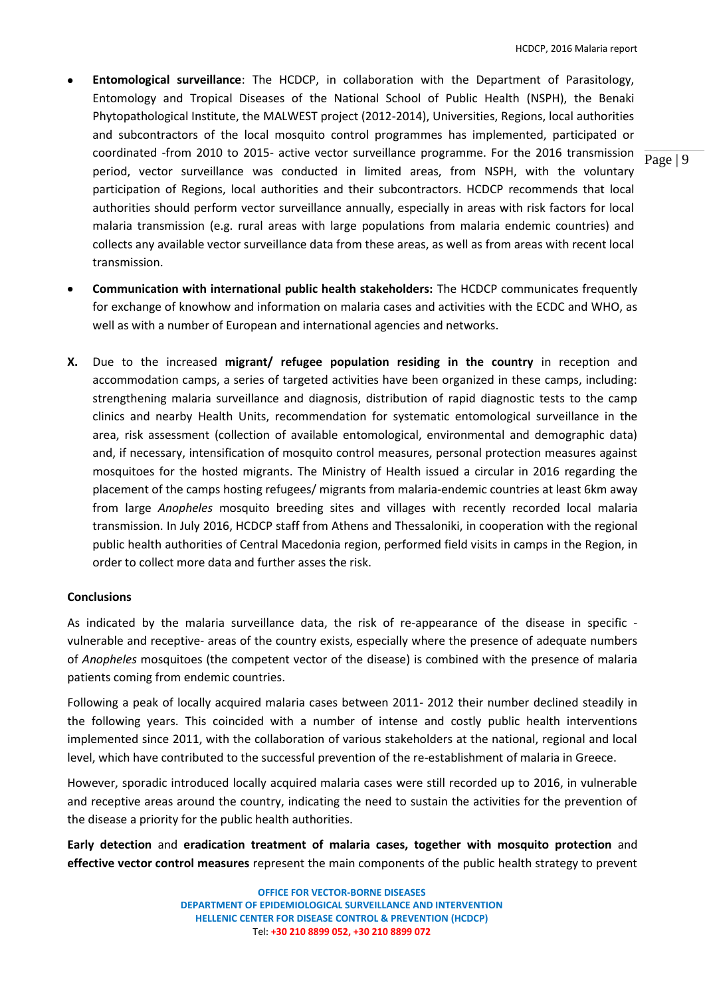- **Entomological surveillance**: The HCDCP, in collaboration with the Department of Parasitology, Entomology and Tropical Diseases of the National School of Public Health (NSPH), the Benaki Phytopathological Institute, the MALWEST project (2012-2014), Universities, Regions, local authorities and subcontractors of the local mosquito control programmes has implemented, participated or coordinated -from 2010 to 2015- active vector surveillance programme. For the 2016 transmission period, vector surveillance was conducted in limited areas, from NSPH, with the voluntary participation of Regions, local authorities and their subcontractors. HCDCP recommends that local authorities should perform vector surveillance annually, especially in areas with risk factors for local malaria transmission (e.g. rural areas with large populations from malaria endemic countries) and collects any available vector surveillance data from these areas, as well as from areas with recent local transmission.
- **Communication with international public health stakeholders:** The HCDCP communicates frequently for exchange of knowhow and information on malaria cases and activities with the ECDC and WHO, as well as with a number of European and international agencies and networks.
- **X.** Due to the increased **migrant/ refugee population residing in the country** in reception and accommodation camps, a series of targeted activities have been organized in these camps, including: strengthening malaria surveillance and diagnosis, distribution of rapid diagnostic tests to the camp clinics and nearby Health Units, recommendation for systematic entomological surveillance in the area, risk assessment (collection of available entomological, environmental and demographic data) and, if necessary, intensification of mosquito control measures, personal protection measures against mosquitoes for the hosted migrants. The Ministry of Health issued a circular in 2016 regarding the placement of the camps hosting refugees/ migrants from malaria-endemic countries at least 6km away from large *Anopheles* mosquito breeding sites and villages with recently recorded local malaria transmission. In July 2016, HCDCP staff from Athens and Thessaloniki, in cooperation with the regional public health authorities of Central Macedonia region, performed field visits in camps in the Region, in order to collect more data and further asses the risk.

## **Conclusions**

As indicated by the malaria surveillance data, the risk of re-appearance of the disease in specific vulnerable and receptive- areas of the country exists, especially where the presence of adequate numbers of *Anopheles* mosquitoes (the competent vector of the disease) is combined with the presence of malaria patients coming from endemic countries.

Following a peak of locally acquired malaria cases between 2011- 2012 their number declined steadily in the following years. This coincided with a number of intense and costly public health interventions implemented since 2011, with the collaboration of various stakeholders at the national, regional and local level, which have contributed to the successful prevention of the re-establishment of malaria in Greece.

However, sporadic introduced locally acquired malaria cases were still recorded up to 2016, in vulnerable and receptive areas around the country, indicating the need to sustain the activities for the prevention of the disease a priority for the public health authorities.

**Early detection** and **eradication treatment of malaria cases, together with mosquito protection** and **effective vector control measures** represent the main components of the public health strategy to prevent